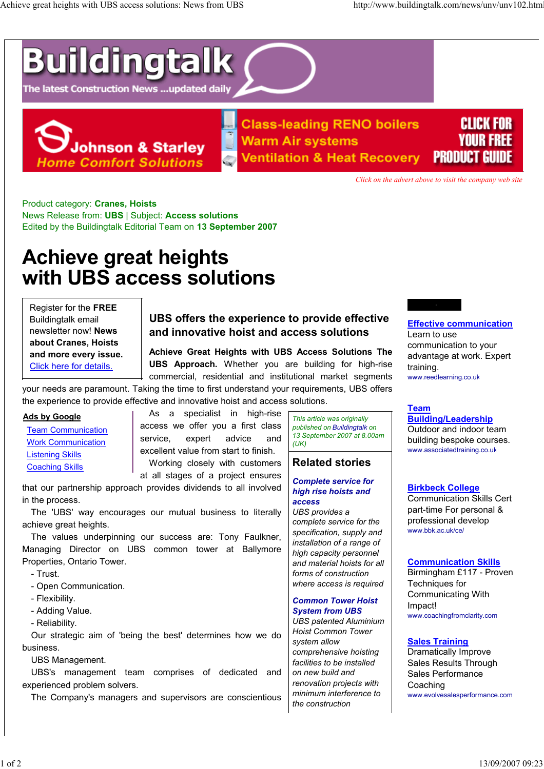# **Buildingtalk**

The latest Construction News ...updated daily



**Class-leading RENO boilers Warm Air systems Ventilation & Heat Recovery** 



Click on the advert above to visit the company web site

Product category: Cranes, Hoists News Release from: UBS | Subject: Access solutions Edited by the Buildingtalk Editorial Team on 13 September 2007

# Achieve great heights with UBS access solutions

Register for the FREE Buildingtalk email newsletter now! News about Cranes, Hoists and more every issue. Click here for details.

# UBS offers the experience to provide effective and innovative hoist and access solutions

Achieve Great Heights with UBS Access Solutions The UBS Approach. Whether you are building for high-rise commercial, residential and institutional market segments

your needs are paramount. Taking the time to first understand your requirements, UBS offers the experience to provide effective and innovative hoist and access solutions.

## Ads by Google

 Team Communication Work Communication Listening Skills Coaching Skills

As a specialist in high-rise access we offer you a first class service, expert advice and excellent value from start to finish.

Working closely with customers at all stages of a project ensures

that our partnership approach provides dividends to all involved in the process.

The 'UBS' way encourages our mutual business to literally achieve great heights.

The values underpinning our success are: Tony Faulkner, Managing Director on UBS common tower at Ballymore Properties, Ontario Tower.

- Trust.

- Open Communication.
- Flexibility.
- Adding Value.
- Reliability.

Our strategic aim of 'being the best' determines how we do business.

UBS Management.

UBS's management team comprises of dedicated and experienced problem solvers.

The Company's managers and supervisors are conscientious

This article was originally published on Buildingtalk on 13 September 2007 at 8.00am  $(UK)$ 

# Related stories

#### Complete service for high rise hoists and access

UBS provides a complete service for the specification, supply and installation of a range of high capacity personnel and material hoists for all forms of construction where access is required

# Common Tower Hoist System from UBS

UBS patented Aluminium Hoist Common Tower system allow comprehensive hoisting facilities to be installed on new build and renovation projects with minimum interference to the construction

# Effective communication

Learn to use communication to your advantage at work. Expert training. www.reedlearning.co.uk

#### Team Building/Leadership

Outdoor and indoor team building bespoke courses. www.associatedtraining.co.uk

# Birkbeck College

Communication Skills Cert part-time For personal & professional develop www.bbk.ac.uk/ce/

# Communication Skills

Birmingham £117 - Proven Techniques for Communicating With Impact! www.coachingfromclarity.com

# Sales Training

Dramatically Improve Sales Results Through Sales Performance Coaching www.evolvesalesperformance.com